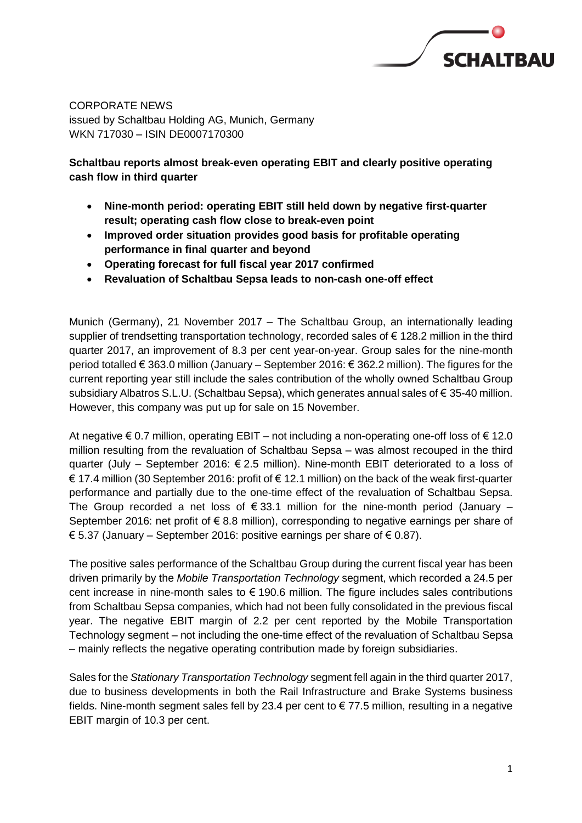

CORPORATE NEWS issued by Schaltbau Holding AG, Munich, Germany WKN 717030 – ISIN DE0007170300

#### **Schaltbau reports almost break-even operating EBIT and clearly positive operating cash flow in third quarter**

- **Nine-month period: operating EBIT still held down by negative first-quarter result; operating cash flow close to break-even point**
- **Improved order situation provides good basis for profitable operating performance in final quarter and beyond**
- **Operating forecast for full fiscal year 2017 confirmed**
- **Revaluation of Schaltbau Sepsa leads to non-cash one-off effect**

Munich (Germany), 21 November 2017 – The Schaltbau Group, an internationally leading supplier of trendsetting transportation technology, recorded sales of € 128.2 million in the third quarter 2017, an improvement of 8.3 per cent year-on-year. Group sales for the nine-month period totalled € 363.0 million (January – September 2016: € 362.2 million). The figures for the current reporting year still include the sales contribution of the wholly owned Schaltbau Group subsidiary Albatros S.L.U. (Schaltbau Sepsa), which generates annual sales of € 35-40 million. However, this company was put up for sale on 15 November.

At negative  $\epsilon$  0.7 million, operating EBIT – not including a non-operating one-off loss of  $\epsilon$  12.0 million resulting from the revaluation of Schaltbau Sepsa – was almost recouped in the third quarter (July – September 2016: € 2.5 million). Nine-month EBIT deteriorated to a loss of € 17.4 million (30 September 2016: profit of € 12.1 million) on the back of the weak first-quarter performance and partially due to the one-time effect of the revaluation of Schaltbau Sepsa. The Group recorded a net loss of  $\epsilon$  33.1 million for the nine-month period (January – September 2016: net profit of €8.8 million), corresponding to negative earnings per share of € 5.37 (January – September 2016: positive earnings per share of € 0.87).

The positive sales performance of the Schaltbau Group during the current fiscal year has been driven primarily by the *Mobile Transportation Technology* segment, which recorded a 24.5 per cent increase in nine-month sales to  $\epsilon$  190.6 million. The figure includes sales contributions from Schaltbau Sepsa companies, which had not been fully consolidated in the previous fiscal year. The negative EBIT margin of 2.2 per cent reported by the Mobile Transportation Technology segment – not including the one-time effect of the revaluation of Schaltbau Sepsa – mainly reflects the negative operating contribution made by foreign subsidiaries.

Sales for the *Stationary Transportation Technology* segment fell again in the third quarter 2017, due to business developments in both the Rail Infrastructure and Brake Systems business fields. Nine-month segment sales fell by 23.4 per cent to € 77.5 million, resulting in a negative EBIT margin of 10.3 per cent.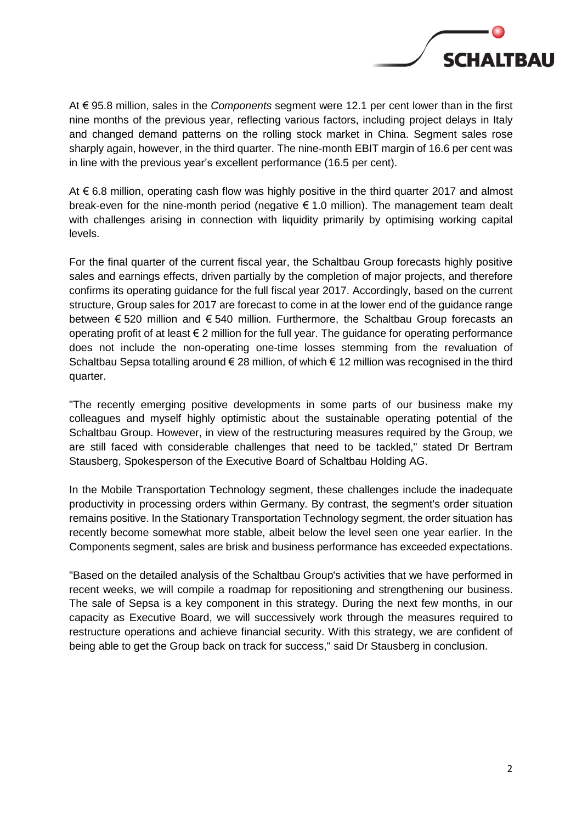

At € 95.8 million, sales in the *Components* segment were 12.1 per cent lower than in the first nine months of the previous year, reflecting various factors, including project delays in Italy and changed demand patterns on the rolling stock market in China. Segment sales rose sharply again, however, in the third quarter. The nine-month EBIT margin of 16.6 per cent was in line with the previous year's excellent performance (16.5 per cent).

At € 6.8 million, operating cash flow was highly positive in the third quarter 2017 and almost break-even for the nine-month period (negative  $\epsilon$  1.0 million). The management team dealt with challenges arising in connection with liquidity primarily by optimising working capital levels.

For the final quarter of the current fiscal year, the Schaltbau Group forecasts highly positive sales and earnings effects, driven partially by the completion of major projects, and therefore confirms its operating guidance for the full fiscal year 2017. Accordingly, based on the current structure, Group sales for 2017 are forecast to come in at the lower end of the guidance range between € 520 million and € 540 million. Furthermore, the Schaltbau Group forecasts an operating profit of at least  $\epsilon$  2 million for the full year. The guidance for operating performance does not include the non-operating one-time losses stemming from the revaluation of Schaltbau Sepsa totalling around € 28 million, of which € 12 million was recognised in the third quarter.

"The recently emerging positive developments in some parts of our business make my colleagues and myself highly optimistic about the sustainable operating potential of the Schaltbau Group. However, in view of the restructuring measures required by the Group, we are still faced with considerable challenges that need to be tackled," stated Dr Bertram Stausberg, Spokesperson of the Executive Board of Schaltbau Holding AG.

In the Mobile Transportation Technology segment, these challenges include the inadequate productivity in processing orders within Germany. By contrast, the segment's order situation remains positive. In the Stationary Transportation Technology segment, the order situation has recently become somewhat more stable, albeit below the level seen one year earlier. In the Components segment, sales are brisk and business performance has exceeded expectations.

"Based on the detailed analysis of the Schaltbau Group's activities that we have performed in recent weeks, we will compile a roadmap for repositioning and strengthening our business. The sale of Sepsa is a key component in this strategy. During the next few months, in our capacity as Executive Board, we will successively work through the measures required to restructure operations and achieve financial security. With this strategy, we are confident of being able to get the Group back on track for success," said Dr Stausberg in conclusion.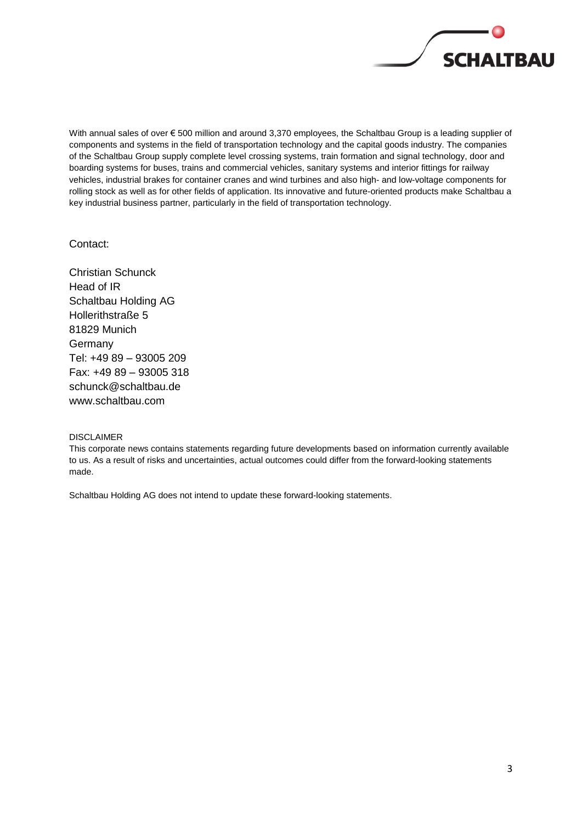

With annual sales of over € 500 million and around 3,370 employees, the Schaltbau Group is a leading supplier of components and systems in the field of transportation technology and the capital goods industry. The companies of the Schaltbau Group supply complete level crossing systems, train formation and signal technology, door and boarding systems for buses, trains and commercial vehicles, sanitary systems and interior fittings for railway vehicles, industrial brakes for container cranes and wind turbines and also high- and low-voltage components for rolling stock as well as for other fields of application. Its innovative and future-oriented products make Schaltbau a key industrial business partner, particularly in the field of transportation technology.

Contact:

Christian Schunck Head of IR Schaltbau Holding AG Hollerithstraße 5 81829 Munich Germany Tel: +49 89 – 93005 209 Fax: +49 89 – 93005 318 [schunck@schaltbau.de](mailto:schunck@schaltbau.de) [www.schaltbau.com](http://www.schaltbau.com/)

DISCLAIMER

This corporate news contains statements regarding future developments based on information currently available to us. As a result of risks and uncertainties, actual outcomes could differ from the forward-looking statements made.

Schaltbau Holding AG does not intend to update these forward-looking statements.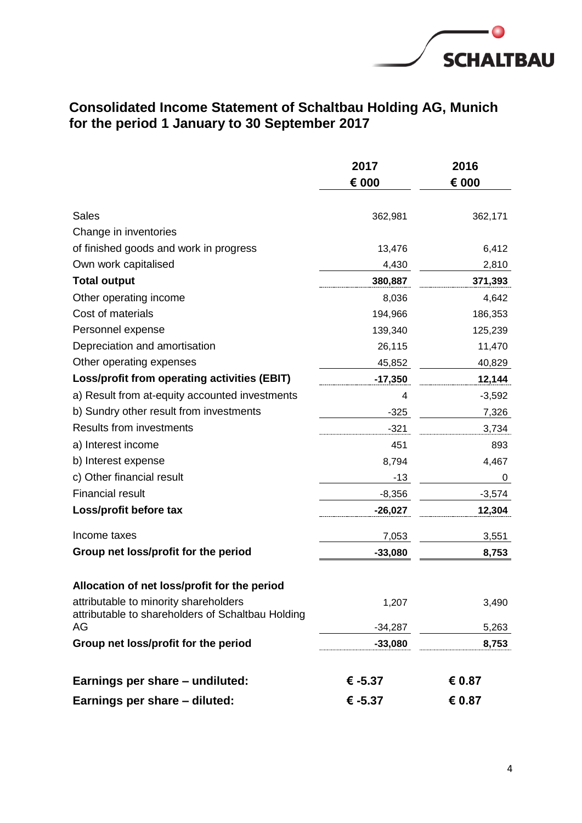

### **Consolidated Income Statement of Schaltbau Holding AG, Munich for the period 1 January to 30 September 2017**

|                                                                                            | 2017      | 2016     |  |
|--------------------------------------------------------------------------------------------|-----------|----------|--|
|                                                                                            | € 000     | € 000    |  |
| <b>Sales</b>                                                                               | 362,981   | 362,171  |  |
| Change in inventories                                                                      |           |          |  |
| of finished goods and work in progress                                                     | 13,476    | 6,412    |  |
| Own work capitalised                                                                       | 4,430     | 2,810    |  |
| <b>Total output</b>                                                                        | 380,887   | 371,393  |  |
| Other operating income                                                                     | 8,036     | 4,642    |  |
| Cost of materials                                                                          | 194,966   | 186,353  |  |
| Personnel expense                                                                          | 139,340   | 125,239  |  |
| Depreciation and amortisation                                                              | 26,115    | 11,470   |  |
| Other operating expenses                                                                   | 45,852    | 40,829   |  |
| Loss/profit from operating activities (EBIT)                                               | $-17,350$ | 12,144   |  |
| a) Result from at-equity accounted investments                                             | 4         | $-3,592$ |  |
| b) Sundry other result from investments                                                    | $-325$    | 7,326    |  |
| <b>Results from investments</b>                                                            | $-321$    | 3,734    |  |
| a) Interest income                                                                         | 451       | 893      |  |
| b) Interest expense                                                                        | 8,794     | 4,467    |  |
| c) Other financial result                                                                  | $-13$     | 0        |  |
| <b>Financial result</b>                                                                    | $-8,356$  | $-3,574$ |  |
| Loss/profit before tax                                                                     | $-26,027$ | 12,304   |  |
| Income taxes                                                                               | 7,053     | 3,551    |  |
| Group net loss/profit for the period                                                       | $-33,080$ | 8,753    |  |
| Allocation of net loss/profit for the period                                               |           |          |  |
| attributable to minority shareholders<br>attributable to shareholders of Schaltbau Holding | 1,207     | 3,490    |  |
| AG                                                                                         | $-34,287$ | 5,263    |  |
| Group net loss/profit for the period                                                       | $-33,080$ | 8,753    |  |
| Earnings per share - undiluted:                                                            | € $-5.37$ | € 0.87   |  |
| Earnings per share - diluted:                                                              | € -5.37   | € 0.87   |  |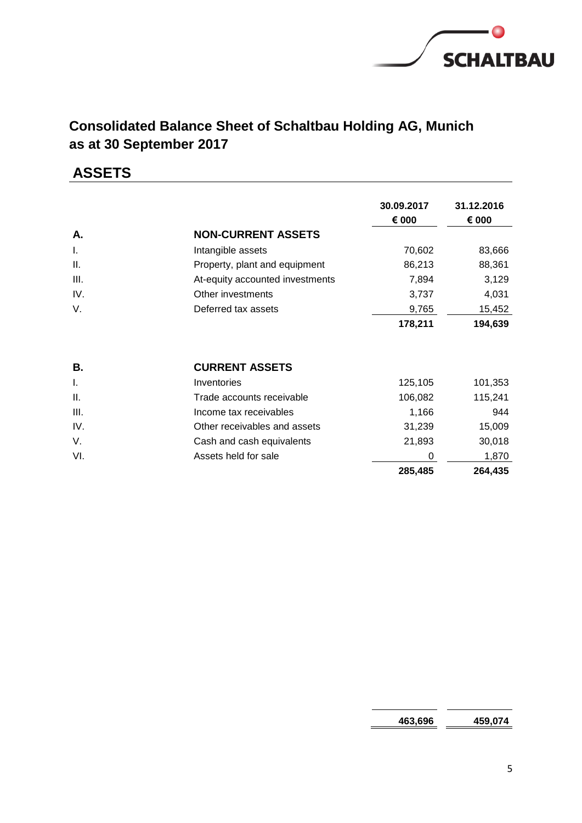

# **Consolidated Balance Sheet of Schaltbau Holding AG, Munich as at 30 September 2017**

# **ASSETS**

|      |                                 | 30.09.2017<br>€ 000 | 31.12.2016<br>€ 000 |
|------|---------------------------------|---------------------|---------------------|
| Α.   | <b>NON-CURRENT ASSETS</b>       |                     |                     |
| I.   | Intangible assets               | 70,602              | 83,666              |
| Ш.   | Property, plant and equipment   | 86,213              | 88,361              |
| III. | At-equity accounted investments | 7,894               | 3,129               |
| IV.  | Other investments               | 3,737               | 4,031               |
| V.   | Deferred tax assets             | 9,765               | 15,452              |
|      |                                 | 178,211             | 194,639             |
| В.   | <b>CURRENT ASSETS</b>           |                     |                     |
| I.   | Inventories                     | 125,105             | 101,353             |
| Ш.   | Trade accounts receivable       | 106,082             | 115,241             |
| III. | Income tax receivables          | 1,166               | 944                 |
| IV.  | Other receivables and assets    | 31,239              | 15,009              |
| V.   | Cash and cash equivalents       | 21,893              | 30,018              |
| VI.  | Assets held for sale            | 0                   | 1,870               |
|      |                                 | 285,485             | 264,435             |

**463,696 459,074**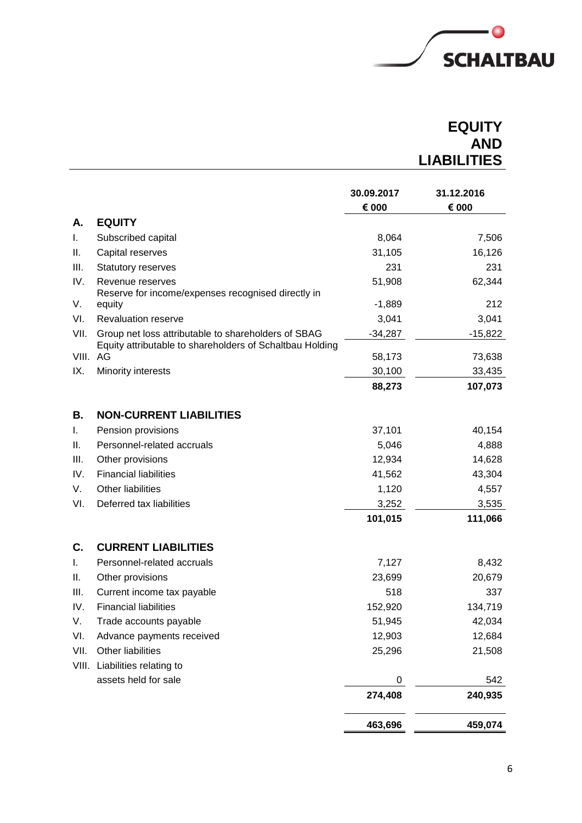

# **EQUITY AND LIABILITIES**

|          |                                                                                                                 | 30.09.2017<br>€ 000 | 31.12.2016<br>€ 000 |
|----------|-----------------------------------------------------------------------------------------------------------------|---------------------|---------------------|
| Α.       | <b>EQUITY</b>                                                                                                   |                     |                     |
| I.       | Subscribed capital                                                                                              | 8,064               | 7,506               |
| Ш.       | Capital reserves                                                                                                | 31,105              | 16,126              |
| III.     | Statutory reserves                                                                                              | 231                 | 231                 |
| IV.      | Revenue reserves                                                                                                | 51,908              | 62,344              |
|          | Reserve for income/expenses recognised directly in                                                              |                     |                     |
| V.       | equity                                                                                                          | $-1,889$            | 212                 |
| VI.      | <b>Revaluation reserve</b>                                                                                      | 3,041               | 3,041               |
| VII.     | Group net loss attributable to shareholders of SBAG<br>Equity attributable to shareholders of Schaltbau Holding | $-34,287$           | $-15,822$           |
| VIII. AG |                                                                                                                 | 58,173              | 73,638              |
| IX.      | Minority interests                                                                                              | 30,100              | 33,435              |
|          |                                                                                                                 | 88,273              | 107,073             |
| В.       | <b>NON-CURRENT LIABILITIES</b>                                                                                  |                     |                     |
| I.       | Pension provisions                                                                                              | 37,101              | 40,154              |
| Ш.       | Personnel-related accruals                                                                                      | 5,046               | 4,888               |
| III.     | Other provisions                                                                                                | 12,934              | 14,628              |
| IV.      | <b>Financial liabilities</b>                                                                                    | 41,562              | 43,304              |
| V.       | Other liabilities                                                                                               | 1,120               | 4,557               |
| VI.      | Deferred tax liabilities                                                                                        | 3,252               | 3,535               |
|          |                                                                                                                 | 101,015             | 111,066             |
| C.       | <b>CURRENT LIABILITIES</b>                                                                                      |                     |                     |
| T.       | Personnel-related accruals                                                                                      | 7,127               | 8,432               |
| Ш.       | Other provisions                                                                                                | 23,699              | 20,679              |
| III.     | Current income tax payable                                                                                      | 518                 | 337                 |
| IV.      | <b>Financial liabilities</b>                                                                                    | 152,920             | 134,719             |
| V.       | Trade accounts payable                                                                                          | 51,945              | 42,034              |
| VI.      | Advance payments received                                                                                       | 12,903              | 12,684              |
| VII.     | Other liabilities                                                                                               | 25,296              | 21,508              |
|          | VIII. Liabilities relating to                                                                                   |                     |                     |
|          | assets held for sale                                                                                            | 0                   | 542                 |
|          |                                                                                                                 | 274,408             | 240,935             |
|          |                                                                                                                 | 463,696             | 459,074             |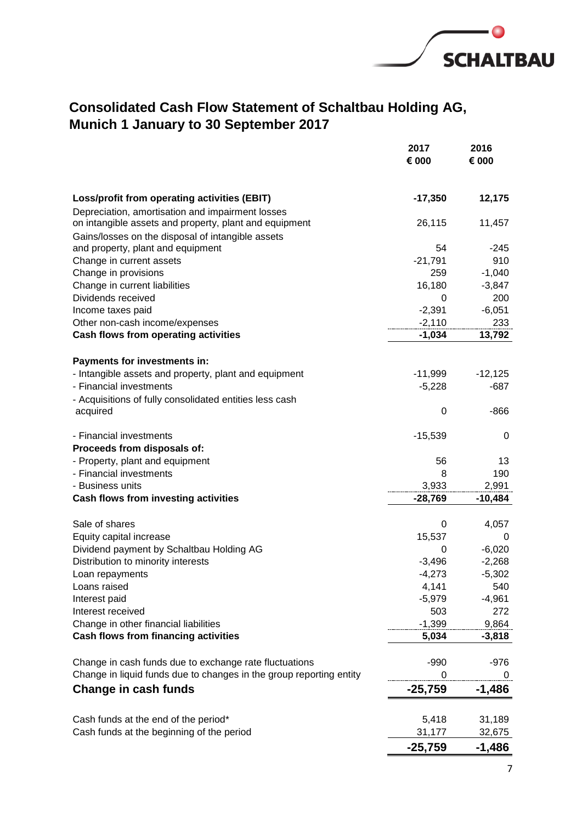

## **Consolidated Cash Flow Statement of Schaltbau Holding AG, Munich 1 January to 30 September 2017**

|                                                                     | 2017<br>€ 000   | 2016<br>€ 000 |
|---------------------------------------------------------------------|-----------------|---------------|
|                                                                     |                 |               |
| Loss/profit from operating activities (EBIT)                        | $-17,350$       | 12,175        |
| Depreciation, amortisation and impairment losses                    |                 |               |
| on intangible assets and property, plant and equipment              | 26,115          | 11,457        |
| Gains/losses on the disposal of intangible assets                   |                 |               |
| and property, plant and equipment<br>Change in current assets       | 54<br>$-21,791$ | $-245$<br>910 |
| Change in provisions                                                | 259             | $-1,040$      |
| Change in current liabilities                                       | 16,180          | $-3,847$      |
| Dividends received                                                  | 0               | 200           |
| Income taxes paid                                                   | $-2,391$        | $-6,051$      |
| Other non-cash income/expenses                                      | $-2,110$        | 233           |
| Cash flows from operating activities                                | $-1,034$        | 13,792        |
|                                                                     |                 |               |
| Payments for investments in:                                        |                 |               |
| - Intangible assets and property, plant and equipment               | $-11,999$       | $-12,125$     |
| - Financial investments                                             | $-5,228$        | $-687$        |
| - Acquisitions of fully consolidated entities less cash             |                 |               |
| acquired                                                            | 0               | -866          |
| - Financial investments                                             | $-15,539$       | 0             |
| Proceeds from disposals of:                                         |                 |               |
| - Property, plant and equipment                                     | 56              | 13            |
| - Financial investments                                             | 8               | 190           |
| - Business units                                                    | 3,933           | 2,991         |
| Cash flows from investing activities                                | $-28,769$       | $-10,484$     |
| Sale of shares                                                      | 0               | 4,057         |
| Equity capital increase                                             | 15,537          | 0             |
| Dividend payment by Schaltbau Holding AG                            | 0               | $-6,020$      |
| Distribution to minority interests                                  | $-3,496$        | $-2,268$      |
| Loan repayments                                                     | $-4,273$        | $-5,302$      |
| Loans raised                                                        | 4,141           | 540           |
| Interest paid                                                       | $-5,979$        | $-4,961$      |
| Interest received                                                   | 503             | 272           |
| Change in other financial liabilities                               | $-1,399$        | 9,864         |
| <b>Cash flows from financing activities</b>                         | 5,034           | $-3,818$      |
| Change in cash funds due to exchange rate fluctuations              | $-990$          | $-976$        |
| Change in liquid funds due to changes in the group reporting entity | 0               | 0             |
| Change in cash funds                                                | $-25,759$       | $-1,486$      |
|                                                                     |                 |               |
| Cash funds at the end of the period*                                | 5,418           | 31,189        |
| Cash funds at the beginning of the period                           | 31,177          | 32,675        |
|                                                                     | $-25,759$       | $-1,486$      |
|                                                                     |                 |               |